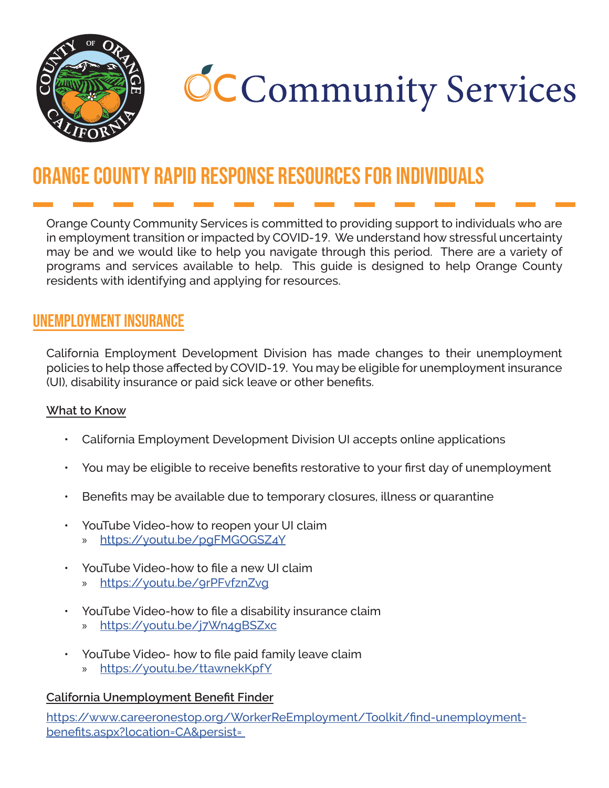

# **CCCommunity Services**

## Orange County Rapid Response Resources for Individuals

Orange County Community Services is committed to providing support to individuals who are in employment transition or impacted by COVID-19. We understand how stressful uncertainty may be and we would like to help you navigate through this period. There are a variety of programs and services available to help. This guide is designed to help Orange County residents with identifying and applying for resources.

## unemployment insurance

California Employment Development Division has made changes to their unemployment policies to help those affected by COVID-19. You may be eligible for unemployment insurance (UI), disability insurance or paid sick leave or other benefits.

#### **What to Know**

- California Employment Development Division UI accepts online applications
- You may be eligible to receive benefits restorative to your first day of unemployment
- Benefits may be available due to temporary closures, illness or quarantine
- YouTube Video-how to reopen your UI claim » <https://youtu.be/pgFMGOGSZ4Y>
- YouTube Video-how to file a new UI claim
	- » <https://youtu.be/9rPFvfznZvg>
- YouTube Video-how to file a disability insurance claim
	- » <https://youtu.be/j7Wn4gBSZxc>
- YouTube Video- how to file paid family leave claim
	- » <https://youtu.be/ttawnekKpfY>

#### **California Unemployment Benefit Finder**

[https://www.careeronestop.org/WorkerReEmployment/Toolkit/find-unemployment](https://www.careeronestop.org/WorkerReEmployment/Toolkit/find-unemployment-benefits.aspx?location=CA)[benefits.aspx?location=CA&persist=](https://www.careeronestop.org/WorkerReEmployment/Toolkit/find-unemployment-benefits.aspx?location=CA)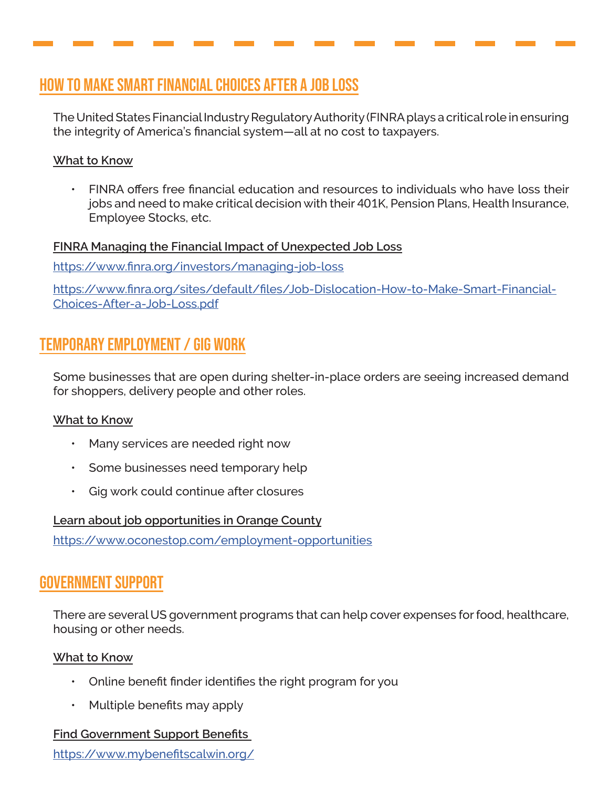## How to Make Smart Financial Choices After a Job Loss

The United States Financial Industry Regulatory Authority (FINRA plays a critical role in ensuring the integrity of America's financial system—all at no cost to taxpayers.

#### **What to Know**

• FINRA offers free financial education and resources to individuals who have loss their jobs and need to make critical decision with their 401K, Pension Plans, Health Insurance, Employee Stocks, etc.

#### **FINRA Managing the Financial Impact of Unexpected Job Loss**

<https://www.finra.org/investors/managing-job-loss>

[https://www.finra.org/sites/default/files/Job-Dislocation-How-to-Make-Smart-Financial-](https://www.finra.org/sites/default/files/Job-Dislocation-How-to-Make-Smart-Financial-Choices-After-)[Choices-After-a-Job-Loss.pdf](https://www.finra.org/sites/default/files/Job-Dislocation-How-to-Make-Smart-Financial-Choices-After-)

## Temporary Employment / Gig Work

Some businesses that are open during shelter-in-place orders are seeing increased demand for shoppers, delivery people and other roles.

#### **What to Know**

- Many services are needed right now
- Some businesses need temporary help
- Gig work could continue after closures

#### **Learn about job opportunities in Orange County**

<https://www.oconestop.com/employment-opportunities>

## Government support

There are several US government programs that can help cover expenses for food, healthcare, housing or other needs.

#### **What to Know**

- Online benefit finder identifies the right program for you
- Multiple benefits may apply

#### **Find Government Support Benefits**

<https://www.mybenefitscalwin.org/>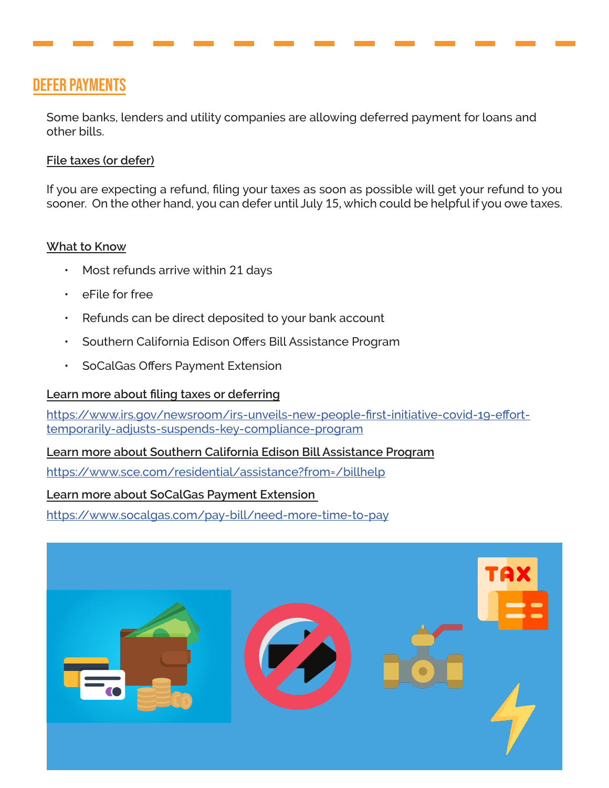## Defer Payments

Some banks, lenders and utility companies are allowing deferred payment for loans and other bills.

#### **File taxes (or defer)**

If you are expecting a refund, filing your taxes as soon as possible will get your refund to you sooner. On the other hand, you can defer until July 15, which could be helpful if you owe taxes.

#### **What to Know**

- Most refunds arrive within 21 days
- eFile for free
- Refunds can be direct deposited to your bank account
- Southern California Edison Offers Bill Assistance Program
- SoCalGas Offers Payment Extension

#### **Learn more about filing taxes or deferring**

[https://www.irs.gov/newsroom/irs-unveils-new-people-first-initiative-covid-19-effort](https://www.irs.gov/newsroom/irs-unveils-new-people-first-initiative-covid-19-effort-temporarily-adj)[temporarily-adjusts-suspends-key-compliance-program](https://www.irs.gov/newsroom/irs-unveils-new-people-first-initiative-covid-19-effort-temporarily-adj)

#### **Learn more about Southern California Edison Bill Assistance Program**

<https://www.sce.com/residential/assistance?from=/billhelp>

#### **Learn more about SoCalGas Payment Extension**

<https://www.socalgas.com/pay-bill/need-more-time-to-pay>

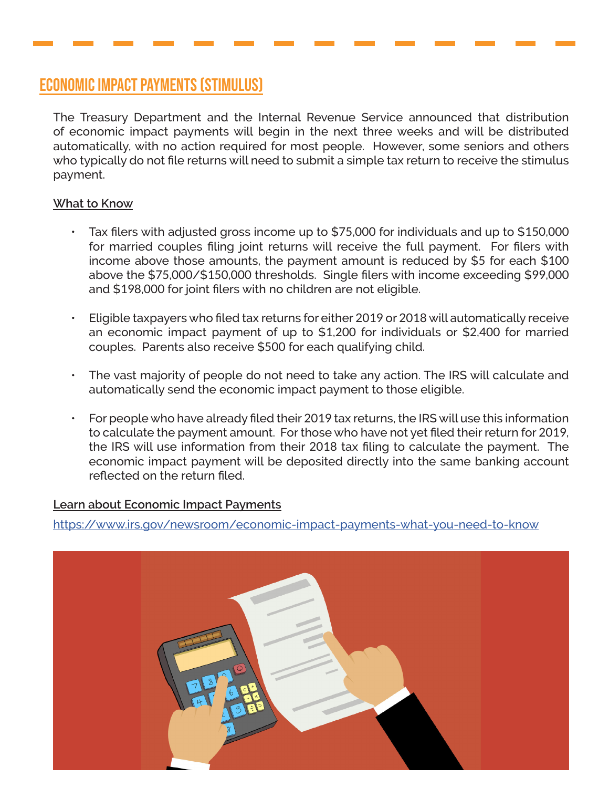## Economic Impact Payments (Stimulus)

The Treasury Department and the Internal Revenue Service announced that distribution of economic impact payments will begin in the next three weeks and will be distributed automatically, with no action required for most people. However, some seniors and others who typically do not file returns will need to submit a simple tax return to receive the stimulus payment.

#### **What to Know**

- Tax filers with adjusted gross income up to \$75,000 for individuals and up to \$150,000 for married couples filing joint returns will receive the full payment. For filers with income above those amounts, the payment amount is reduced by \$5 for each \$100 above the \$75,000/\$150,000 thresholds. Single filers with income exceeding \$99,000 and \$198,000 for joint filers with no children are not eligible.
- Eligible taxpayers who filed tax returns for either 2019 or 2018 will automatically receive an economic impact payment of up to \$1,200 for individuals or \$2,400 for married couples. Parents also receive \$500 for each qualifying child.
- The vast majority of people do not need to take any action. The IRS will calculate and automatically send the economic impact payment to those eligible.
- For people who have already filed their 2019 tax returns, the IRS will use this information to calculate the payment amount. For those who have not yet filed their return for 2019, the IRS will use information from their 2018 tax filing to calculate the payment. The economic impact payment will be deposited directly into the same banking account reflected on the return filed.

#### **Learn about Economic Impact Payments**

<https://www.irs.gov/newsroom/economic-impact-payments-what-you-need-to-know>

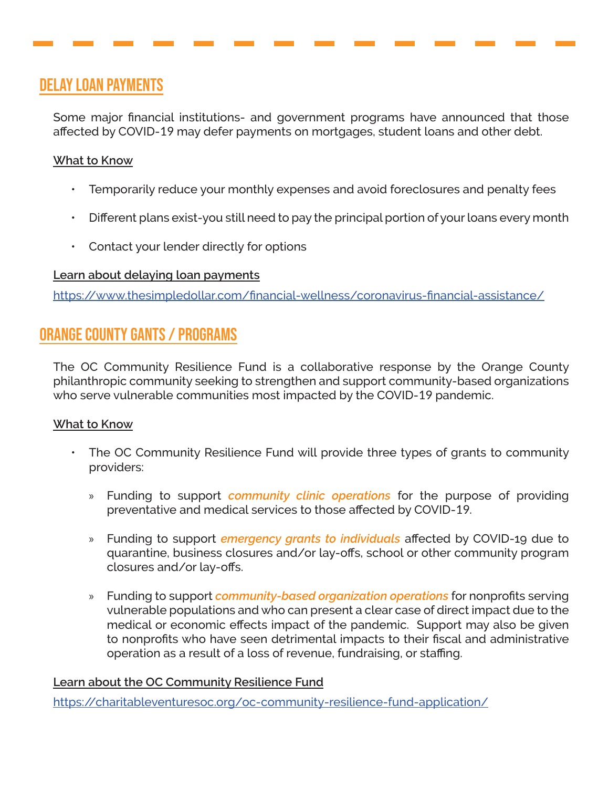## delay loan payments

Some major financial institutions- and government programs have announced that those affected by COVID-19 may defer payments on mortgages, student loans and other debt.

#### **What to Know**

- Temporarily reduce your monthly expenses and avoid foreclosures and penalty fees
- Different plans exist-you still need to pay the principal portion of your loans every month
- Contact your lender directly for options

#### **Learn about delaying loan payments**

<https://www.thesimpledollar.com/financial-wellness/coronavirus-financial-assistance/>

## Orange County Gants / Programs

The OC Community Resilience Fund is a collaborative response by the Orange County philanthropic community seeking to strengthen and support community-based organizations who serve vulnerable communities most impacted by the COVID-19 pandemic.

#### **What to Know**

- The OC Community Resilience Fund will provide three types of grants to community providers:
	- » Funding to support *community clinic operations* for the purpose of providing preventative and medical services to those affected by COVID-19.
	- » Funding to support *emergency grants to individuals* affected by COVID-19 due to quarantine, business closures and/or lay-offs, school or other community program closures and/or lay-offs.
	- » Funding to support *community-based organization operations* for nonprofits serving vulnerable populations and who can present a clear case of direct impact due to the medical or economic effects impact of the pandemic. Support may also be given to nonprofits who have seen detrimental impacts to their fiscal and administrative operation as a result of a loss of revenue, fundraising, or staffing.

#### **Learn about the OC Community Resilience Fund**

<https://charitableventuresoc.org/oc-community-resilience-fund-application/>